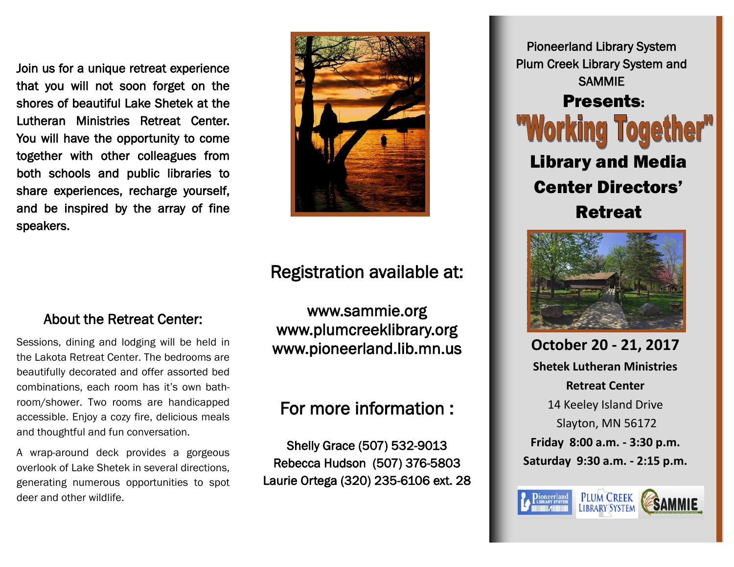Join us for a unique retreat experience that you will not soon forget on the shores of beautiful Lake Shetek at the Lutheran Ministries Retreat Center. You will have the opportunity to come together with other colleagues from both schools and public libraries to share experiences, recharge yourself, and be inspired by the array of fine speakers.



## Registration available at:

## About the Retreat Center:

Sessions, dining and lodging will be held in the Lakota Retreat Center. The bedrooms are beautifully decorated and offer assorted bed combinations, each room has it's own bathroom/shower. Two rooms are handicapped accessible. Enjoy a cozy fire, delicious meals and thoughtful and fun conversation.

A wrap-around deck provides a gorgeous overlook of Lake Shetek in several directions, generating numerous opportunities to spot deer and other wildlife.

www.sammie.org www.plumcreeklibrary.org www.pioneerland.lib.mn.us

# For more information :

Shelly Grace (507) 532-9013 Rebecca Hudson (507) 376-5803 Laurie Ortega (320) 235-6106 ext. 28

Pioneerland Library System Plum Creek Library System and SAMMIE Presents: "Working Toge Library and Media Center Directors' Retreat



**October 20 - 21, 2017 Shetek Lutheran Ministries Retreat Center** 14 Keeley Island Drive Slayton, MN 56172 **Friday 8:00 a.m. - 3:30 p.m. Saturday 9:30 a.m. - 2:15 p.m.**